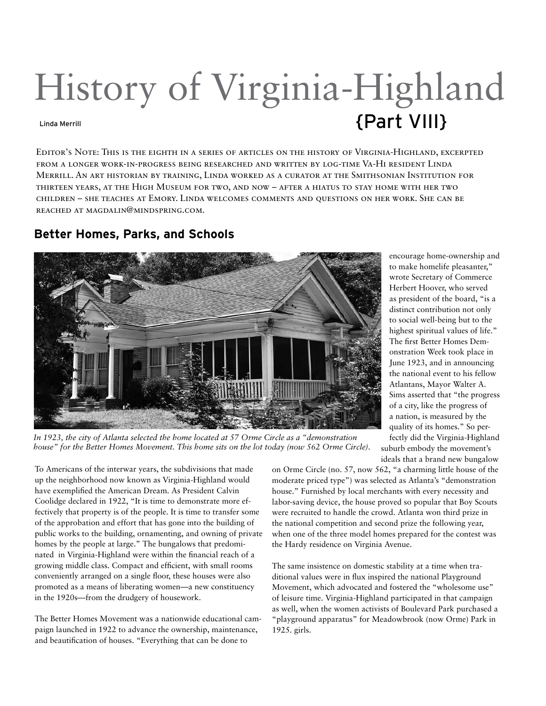## History of Virginia-Highland Linda Merrill **Linda Merrill**

Editor's Note: This is the eighth in a series of articles on the history of Virginia-Highland, excerpted from a longer work-in-progress being researched and written by log-time Va-Hi resident Linda Merrill. An art historian by training, Linda worked as a curator at the Smithsonian Institution for thirteen years, at the High Museum for two, and now – after a hiatus to stay home with her two children – she teaches at Emory. Linda welcomes comments and questions on her work. She can be reached at magdalin@mindspring.com.

## **Better Homes, Parks, and Schools**



encourage home-ownership and to make homelife pleasanter," wrote Secretary of Commerce Herbert Hoover, who served as president of the board, "is a distinct contribution not only to social well-being but to the highest spiritual values of life." The first Better Homes Demonstration Week took place in June 1923, and in announcing the national event to his fellow Atlantans, Mayor Walter A. Sims asserted that "the progress of a city, like the progress of a nation, is measured by the quality of its homes." So perfectly did the Virginia-Highland suburb embody the movement's ideals that a brand new bungalow

*In 1923, the city of Atlanta selected the home located at 57 Orme Circle as a "demonstration house" for the Better Homes Movement. This home sits on the lot today (now 562 Orme Circle).*

To Americans of the interwar years, the subdivisions that made up the neighborhood now known as Virginia-Highland would have exemplified the American Dream. As President Calvin Coolidge declared in 1922, "It is time to demonstrate more effectively that property is of the people. It is time to transfer some of the approbation and effort that has gone into the building of public works to the building, ornamenting, and owning of private homes by the people at large." The bungalows that predominated in Virginia-Highland were within the financial reach of a growing middle class. Compact and efficient, with small rooms conveniently arranged on a single floor, these houses were also promoted as a means of liberating women—a new constituency in the 1920s—from the drudgery of housework.

The Better Homes Movement was a nationwide educational campaign launched in 1922 to advance the ownership, maintenance, and beautification of houses. "Everything that can be done to

on Orme Circle (no. 57, now 562, "a charming little house of the moderate priced type") was selected as Atlanta's "demonstration house." Furnished by local merchants with every necessity and labor-saving device, the house proved so popular that Boy Scouts were recruited to handle the crowd. Atlanta won third prize in the national competition and second prize the following year, when one of the three model homes prepared for the contest was the Hardy residence on Virginia Avenue.

The same insistence on domestic stability at a time when traditional values were in flux inspired the national Playground Movement, which advocated and fostered the "wholesome use" of leisure time. Virginia-Highland participated in that campaign as well, when the women activists of Boulevard Park purchased a "playground apparatus" for Meadowbrook (now Orme) Park in 1925. girls.